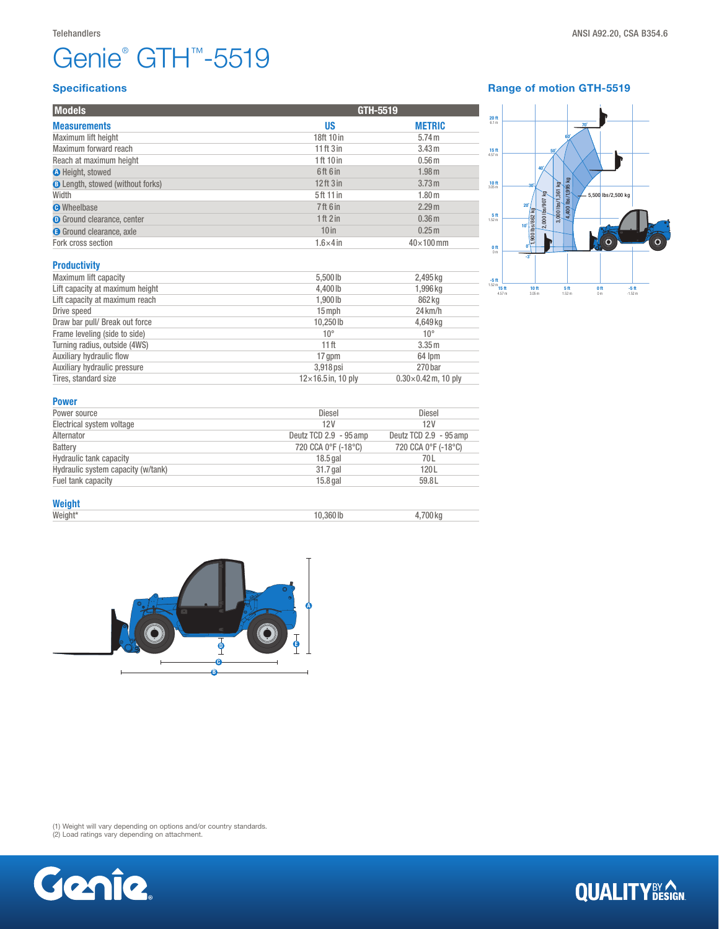# Genie® GTH™-5519

| <b>Models</b>                           |                           | GTH-5519                   |  |
|-----------------------------------------|---------------------------|----------------------------|--|
| <b>Measurements</b>                     | <b>US</b>                 | <b>METRIC</b>              |  |
| Maximum lift height                     | 18ft 10 in                | 5.74 m                     |  |
| Maximum forward reach                   | $11$ ft $3$ in            | 3.43 m                     |  |
| Reach at maximum height                 | 1 ft 10 in                | 0.56 <sub>m</sub>          |  |
| <b>O</b> Height, stowed                 | 6ft 6 in                  | 1.98 <sub>m</sub>          |  |
| <b>B</b> Length, stowed (without forks) | $12$ ft $3$ in            | 3.73 m                     |  |
| Width                                   | 5ft 11 in                 | 1.80 <sub>m</sub>          |  |
| <b>O</b> Wheelbase                      | <b>7ft 6 in</b>           | 2.29 <sub>m</sub>          |  |
| <b>O</b> Ground clearance, center       | 1 ft 2 in                 | 0.36 <sub>m</sub>          |  |
| <b>G</b> Ground clearance, axle         | 10 <sub>in</sub>          | 0.25 <sub>m</sub>          |  |
| Fork cross section                      | $1.6\times4$ in           | $40\times100$ mm           |  |
| <b>Productivity</b>                     |                           |                            |  |
| Maximum lift capacity                   | 5,500 lb                  | 2,495 kg                   |  |
| Lift capacity at maximum height         | 4,400 lb                  | 1,996 kg                   |  |
| Lift capacity at maximum reach          | 1,900 lb                  | 862 kg                     |  |
| Drive speed                             | $15$ mph                  | $24 \mathrm{km/h}$         |  |
| Draw bar pull/ Break out force          | 10,250lb                  | 4,649 kg                   |  |
| Frame leveling (side to side)           | $10^{\circ}$              | $10^{\circ}$               |  |
| Turning radius, outside (4WS)           | 11 <sup>ft</sup>          | 3.35 m                     |  |
| Auxiliary hydraulic flow                | 17 gpm                    | 64 lpm                     |  |
| Auxiliary hydraulic pressure            | 3,918 psi                 | 270 bar                    |  |
| Tires, standard size                    | $12\times16.5$ in, 10 ply | $0.30\times0.42$ m, 10 ply |  |

#### Range of motion GTH-5519



| Power source                       | <b>Diesel</b>          | <b>Diesel</b>          |
|------------------------------------|------------------------|------------------------|
| Electrical system voltage          | 12V                    | 12V                    |
| Alternator                         | Deutz TCD 2.9 - 95 amp | Deutz TCD 2.9 - 95 amp |
| Battery                            | 720 CCA 0°F (-18°C)    | 720 CCA 0°F (-18°C)    |
| <b>Hydraulic tank capacity</b>     | $18.5$ gal             | 70 L                   |
| Hydraulic system capacity (w/tank) | 31.7 gal               | 120L                   |
| Fuel tank capacity                 | $15.8$ gal             | 59.8L                  |

### Weight\*<br>Weight\*

Weight\* 10,360 lb 4,700 kg



(1) Weight will vary depending on options and/or country standards. (2) Load ratings vary depending on attachment.